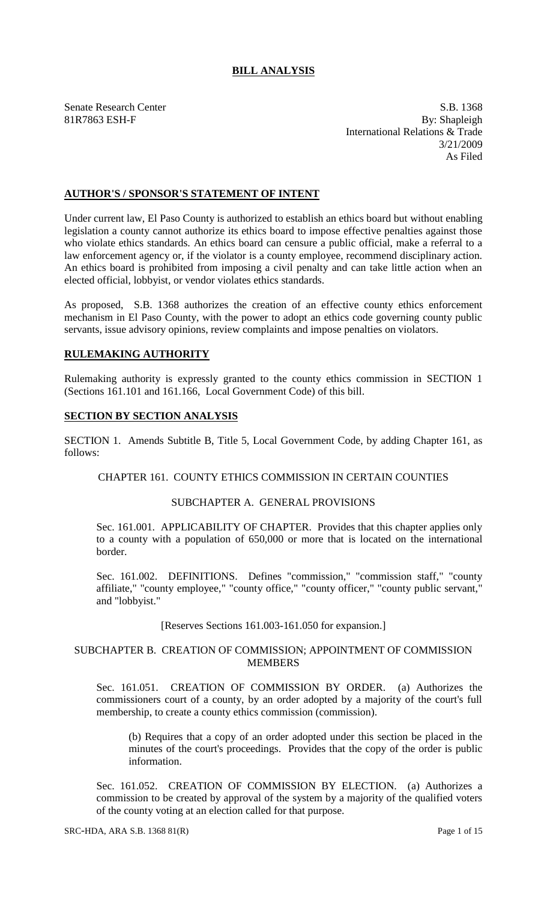# **BILL ANALYSIS**

Senate Research Center S.B. 1368 81R7863 ESH-F By: Shapleigh International Relations & Trade 3/21/2009 As Filed

## **AUTHOR'S / SPONSOR'S STATEMENT OF INTENT**

Under current law, El Paso County is authorized to establish an ethics board but without enabling legislation a county cannot authorize its ethics board to impose effective penalties against those who violate ethics standards. An ethics board can censure a public official, make a referral to a law enforcement agency or, if the violator is a county employee, recommend disciplinary action. An ethics board is prohibited from imposing a civil penalty and can take little action when an elected official, lobbyist, or vendor violates ethics standards.

As proposed, S.B. 1368 authorizes the creation of an effective county ethics enforcement mechanism in El Paso County, with the power to adopt an ethics code governing county public servants, issue advisory opinions, review complaints and impose penalties on violators.

### **RULEMAKING AUTHORITY**

Rulemaking authority is expressly granted to the county ethics commission in SECTION 1 (Sections 161.101 and 161.166, Local Government Code) of this bill.

### **SECTION BY SECTION ANALYSIS**

SECTION 1. Amends Subtitle B, Title 5, Local Government Code, by adding Chapter 161, as follows:

### CHAPTER 161. COUNTY ETHICS COMMISSION IN CERTAIN COUNTIES

### SUBCHAPTER A. GENERAL PROVISIONS

Sec. 161.001. APPLICABILITY OF CHAPTER. Provides that this chapter applies only to a county with a population of 650,000 or more that is located on the international border.

Sec. 161.002. DEFINITIONS. Defines "commission," "commission staff," "county affiliate," "county employee," "county office," "county officer," "county public servant," and "lobbyist."

#### [Reserves Sections 161.003-161.050 for expansion.]

### SUBCHAPTER B. CREATION OF COMMISSION; APPOINTMENT OF COMMISSION MEMBERS

Sec. 161.051. CREATION OF COMMISSION BY ORDER. (a) Authorizes the commissioners court of a county, by an order adopted by a majority of the court's full membership, to create a county ethics commission (commission).

(b) Requires that a copy of an order adopted under this section be placed in the minutes of the court's proceedings. Provides that the copy of the order is public information.

Sec. 161.052. CREATION OF COMMISSION BY ELECTION. (a) Authorizes a commission to be created by approval of the system by a majority of the qualified voters of the county voting at an election called for that purpose.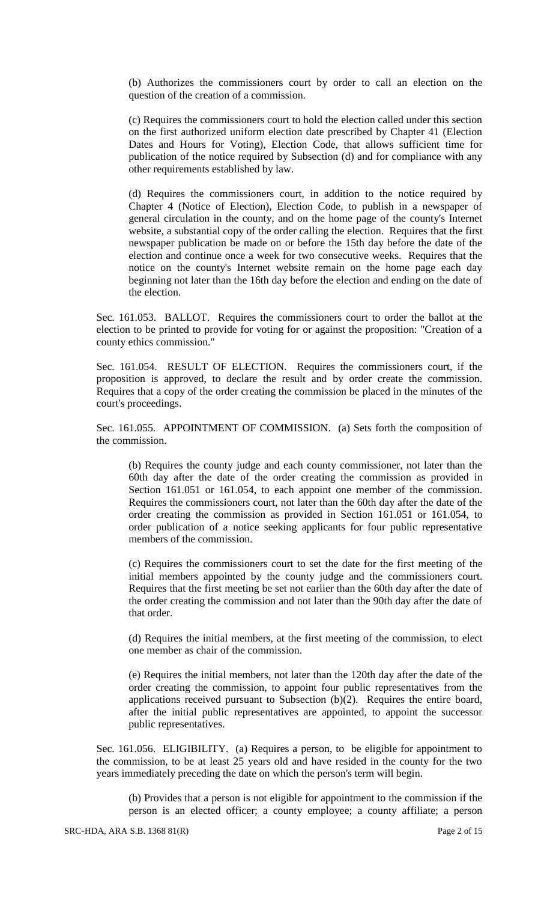(b) Authorizes the commissioners court by order to call an election on the question of the creation of a commission.

(c) Requires the commissioners court to hold the election called under this section on the first authorized uniform election date prescribed by Chapter 41 (Election Dates and Hours for Voting), Election Code, that allows sufficient time for publication of the notice required by Subsection (d) and for compliance with any other requirements established by law.

(d) Requires the commissioners court, in addition to the notice required by Chapter 4 (Notice of Election), Election Code, to publish in a newspaper of general circulation in the county, and on the home page of the county's Internet website, a substantial copy of the order calling the election. Requires that the first newspaper publication be made on or before the 15th day before the date of the election and continue once a week for two consecutive weeks. Requires that the notice on the county's Internet website remain on the home page each day beginning not later than the 16th day before the election and ending on the date of the election.

Sec. 161.053. BALLOT. Requires the commissioners court to order the ballot at the election to be printed to provide for voting for or against the proposition: "Creation of a county ethics commission."

Sec. 161.054. RESULT OF ELECTION. Requires the commissioners court, if the proposition is approved, to declare the result and by order create the commission. Requires that a copy of the order creating the commission be placed in the minutes of the court's proceedings.

Sec. 161.055. APPOINTMENT OF COMMISSION. (a) Sets forth the composition of the commission.

(b) Requires the county judge and each county commissioner, not later than the 60th day after the date of the order creating the commission as provided in Section 161.051 or 161.054, to each appoint one member of the commission. Requires the commissioners court, not later than the 60th day after the date of the order creating the commission as provided in Section 161.051 or 161.054, to order publication of a notice seeking applicants for four public representative members of the commission.

(c) Requires the commissioners court to set the date for the first meeting of the initial members appointed by the county judge and the commissioners court. Requires that the first meeting be set not earlier than the 60th day after the date of the order creating the commission and not later than the 90th day after the date of that order.

(d) Requires the initial members, at the first meeting of the commission, to elect one member as chair of the commission.

(e) Requires the initial members, not later than the 120th day after the date of the order creating the commission, to appoint four public representatives from the applications received pursuant to Subsection (b)(2). Requires the entire board, after the initial public representatives are appointed, to appoint the successor public representatives.

Sec. 161.056. ELIGIBILITY. (a) Requires a person, to be eligible for appointment to the commission, to be at least 25 years old and have resided in the county for the two years immediately preceding the date on which the person's term will begin.

(b) Provides that a person is not eligible for appointment to the commission if the person is an elected officer; a county employee; a county affiliate; a person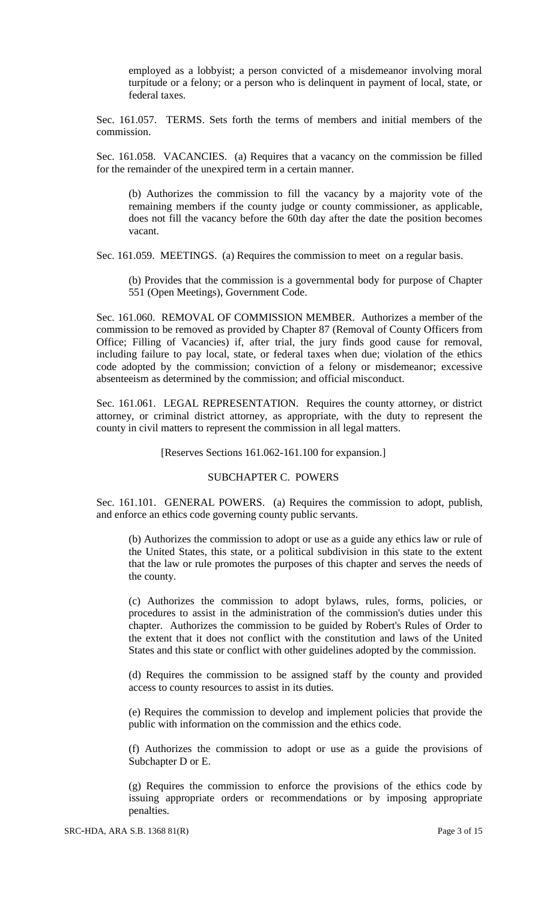employed as a lobbyist; a person convicted of a misdemeanor involving moral turpitude or a felony; or a person who is delinquent in payment of local, state, or federal taxes.

Sec. 161.057. TERMS. Sets forth the terms of members and initial members of the commission.

Sec. 161.058. VACANCIES. (a) Requires that a vacancy on the commission be filled for the remainder of the unexpired term in a certain manner.

(b) Authorizes the commission to fill the vacancy by a majority vote of the remaining members if the county judge or county commissioner, as applicable, does not fill the vacancy before the 60th day after the date the position becomes vacant.

Sec. 161.059. MEETINGS. (a) Requires the commission to meet on a regular basis.

(b) Provides that the commission is a governmental body for purpose of Chapter 551 (Open Meetings), Government Code.

Sec. 161.060. REMOVAL OF COMMISSION MEMBER. Authorizes a member of the commission to be removed as provided by Chapter 87 (Removal of County Officers from Office; Filling of Vacancies) if, after trial, the jury finds good cause for removal, including failure to pay local, state, or federal taxes when due; violation of the ethics code adopted by the commission; conviction of a felony or misdemeanor; excessive absenteeism as determined by the commission; and official misconduct.

Sec. 161.061. LEGAL REPRESENTATION. Requires the county attorney, or district attorney, or criminal district attorney, as appropriate, with the duty to represent the county in civil matters to represent the commission in all legal matters.

[Reserves Sections 161.062-161.100 for expansion.]

#### SUBCHAPTER C. POWERS

Sec. 161.101. GENERAL POWERS. (a) Requires the commission to adopt, publish, and enforce an ethics code governing county public servants.

(b) Authorizes the commission to adopt or use as a guide any ethics law or rule of the United States, this state, or a political subdivision in this state to the extent that the law or rule promotes the purposes of this chapter and serves the needs of the county.

(c) Authorizes the commission to adopt bylaws, rules, forms, policies, or procedures to assist in the administration of the commission's duties under this chapter. Authorizes the commission to be guided by Robert's Rules of Order to the extent that it does not conflict with the constitution and laws of the United States and this state or conflict with other guidelines adopted by the commission.

(d) Requires the commission to be assigned staff by the county and provided access to county resources to assist in its duties.

(e) Requires the commission to develop and implement policies that provide the public with information on the commission and the ethics code.

(f) Authorizes the commission to adopt or use as a guide the provisions of Subchapter D or E.

(g) Requires the commission to enforce the provisions of the ethics code by issuing appropriate orders or recommendations or by imposing appropriate penalties.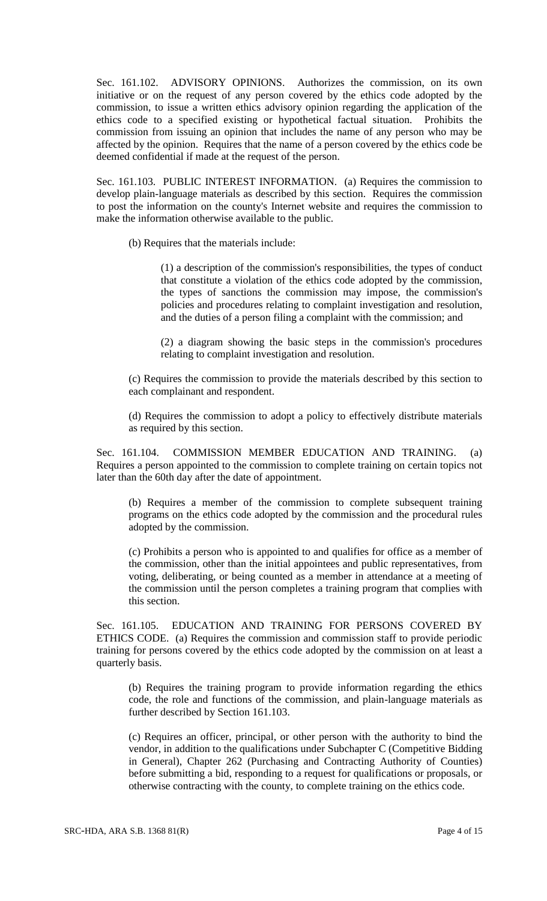Sec. 161.102. ADVISORY OPINIONS. Authorizes the commission, on its own initiative or on the request of any person covered by the ethics code adopted by the commission, to issue a written ethics advisory opinion regarding the application of the ethics code to a specified existing or hypothetical factual situation. Prohibits the commission from issuing an opinion that includes the name of any person who may be affected by the opinion. Requires that the name of a person covered by the ethics code be deemed confidential if made at the request of the person.

Sec. 161.103. PUBLIC INTEREST INFORMATION. (a) Requires the commission to develop plain-language materials as described by this section. Requires the commission to post the information on the county's Internet website and requires the commission to make the information otherwise available to the public.

(b) Requires that the materials include:

(1) a description of the commission's responsibilities, the types of conduct that constitute a violation of the ethics code adopted by the commission, the types of sanctions the commission may impose, the commission's policies and procedures relating to complaint investigation and resolution, and the duties of a person filing a complaint with the commission; and

(2) a diagram showing the basic steps in the commission's procedures relating to complaint investigation and resolution.

(c) Requires the commission to provide the materials described by this section to each complainant and respondent.

(d) Requires the commission to adopt a policy to effectively distribute materials as required by this section.

Sec. 161.104. COMMISSION MEMBER EDUCATION AND TRAINING. (a) Requires a person appointed to the commission to complete training on certain topics not later than the 60th day after the date of appointment.

(b) Requires a member of the commission to complete subsequent training programs on the ethics code adopted by the commission and the procedural rules adopted by the commission.

(c) Prohibits a person who is appointed to and qualifies for office as a member of the commission, other than the initial appointees and public representatives, from voting, deliberating, or being counted as a member in attendance at a meeting of the commission until the person completes a training program that complies with this section.

Sec. 161.105. EDUCATION AND TRAINING FOR PERSONS COVERED BY ETHICS CODE. (a) Requires the commission and commission staff to provide periodic training for persons covered by the ethics code adopted by the commission on at least a quarterly basis.

(b) Requires the training program to provide information regarding the ethics code, the role and functions of the commission, and plain-language materials as further described by Section 161.103.

(c) Requires an officer, principal, or other person with the authority to bind the vendor, in addition to the qualifications under Subchapter C (Competitive Bidding in General), Chapter 262 (Purchasing and Contracting Authority of Counties) before submitting a bid, responding to a request for qualifications or proposals, or otherwise contracting with the county, to complete training on the ethics code.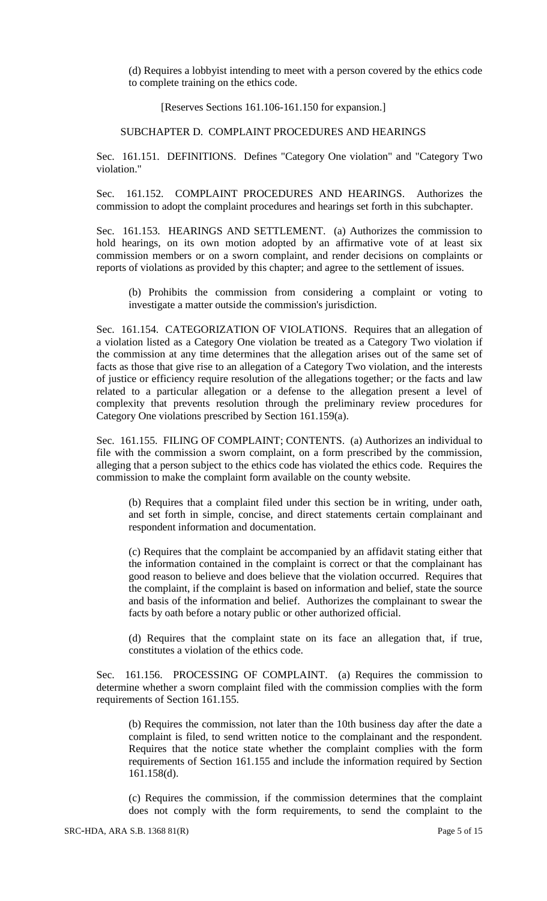(d) Requires a lobbyist intending to meet with a person covered by the ethics code to complete training on the ethics code.

[Reserves Sections 161.106-161.150 for expansion.]

SUBCHAPTER D. COMPLAINT PROCEDURES AND HEARINGS

Sec. 161.151. DEFINITIONS. Defines "Category One violation" and "Category Two violation."

Sec. 161.152. COMPLAINT PROCEDURES AND HEARINGS. Authorizes the commission to adopt the complaint procedures and hearings set forth in this subchapter.

Sec. 161.153. HEARINGS AND SETTLEMENT. (a) Authorizes the commission to hold hearings, on its own motion adopted by an affirmative vote of at least six commission members or on a sworn complaint, and render decisions on complaints or reports of violations as provided by this chapter; and agree to the settlement of issues.

(b) Prohibits the commission from considering a complaint or voting to investigate a matter outside the commission's jurisdiction.

Sec. 161.154. CATEGORIZATION OF VIOLATIONS. Requires that an allegation of a violation listed as a Category One violation be treated as a Category Two violation if the commission at any time determines that the allegation arises out of the same set of facts as those that give rise to an allegation of a Category Two violation, and the interests of justice or efficiency require resolution of the allegations together; or the facts and law related to a particular allegation or a defense to the allegation present a level of complexity that prevents resolution through the preliminary review procedures for Category One violations prescribed by Section 161.159(a).

Sec. 161.155. FILING OF COMPLAINT; CONTENTS. (a) Authorizes an individual to file with the commission a sworn complaint, on a form prescribed by the commission, alleging that a person subject to the ethics code has violated the ethics code. Requires the commission to make the complaint form available on the county website.

(b) Requires that a complaint filed under this section be in writing, under oath, and set forth in simple, concise, and direct statements certain complainant and respondent information and documentation.

(c) Requires that the complaint be accompanied by an affidavit stating either that the information contained in the complaint is correct or that the complainant has good reason to believe and does believe that the violation occurred. Requires that the complaint, if the complaint is based on information and belief, state the source and basis of the information and belief. Authorizes the complainant to swear the facts by oath before a notary public or other authorized official.

(d) Requires that the complaint state on its face an allegation that, if true, constitutes a violation of the ethics code.

Sec. 161.156. PROCESSING OF COMPLAINT. (a) Requires the commission to determine whether a sworn complaint filed with the commission complies with the form requirements of Section 161.155.

(b) Requires the commission, not later than the 10th business day after the date a complaint is filed, to send written notice to the complainant and the respondent. Requires that the notice state whether the complaint complies with the form requirements of Section 161.155 and include the information required by Section 161.158(d).

(c) Requires the commission, if the commission determines that the complaint does not comply with the form requirements, to send the complaint to the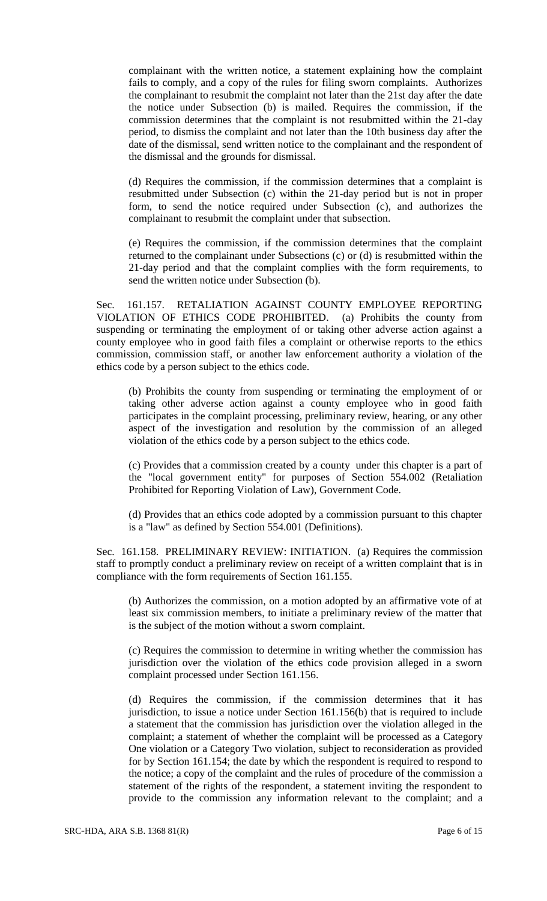complainant with the written notice, a statement explaining how the complaint fails to comply, and a copy of the rules for filing sworn complaints. Authorizes the complainant to resubmit the complaint not later than the 21st day after the date the notice under Subsection (b) is mailed. Requires the commission, if the commission determines that the complaint is not resubmitted within the 21-day period, to dismiss the complaint and not later than the 10th business day after the date of the dismissal, send written notice to the complainant and the respondent of the dismissal and the grounds for dismissal.

(d) Requires the commission, if the commission determines that a complaint is resubmitted under Subsection (c) within the 21-day period but is not in proper form, to send the notice required under Subsection (c), and authorizes the complainant to resubmit the complaint under that subsection.

(e) Requires the commission, if the commission determines that the complaint returned to the complainant under Subsections (c) or (d) is resubmitted within the 21-day period and that the complaint complies with the form requirements, to send the written notice under Subsection (b).

Sec. 161.157. RETALIATION AGAINST COUNTY EMPLOYEE REPORTING VIOLATION OF ETHICS CODE PROHIBITED. (a) Prohibits the county from suspending or terminating the employment of or taking other adverse action against a county employee who in good faith files a complaint or otherwise reports to the ethics commission, commission staff, or another law enforcement authority a violation of the ethics code by a person subject to the ethics code.

(b) Prohibits the county from suspending or terminating the employment of or taking other adverse action against a county employee who in good faith participates in the complaint processing, preliminary review, hearing, or any other aspect of the investigation and resolution by the commission of an alleged violation of the ethics code by a person subject to the ethics code.

(c) Provides that a commission created by a county under this chapter is a part of the "local government entity" for purposes of Section 554.002 (Retaliation Prohibited for Reporting Violation of Law), Government Code.

(d) Provides that an ethics code adopted by a commission pursuant to this chapter is a "law" as defined by Section 554.001 (Definitions).

Sec. 161.158. PRELIMINARY REVIEW: INITIATION. (a) Requires the commission staff to promptly conduct a preliminary review on receipt of a written complaint that is in compliance with the form requirements of Section 161.155.

(b) Authorizes the commission, on a motion adopted by an affirmative vote of at least six commission members, to initiate a preliminary review of the matter that is the subject of the motion without a sworn complaint.

(c) Requires the commission to determine in writing whether the commission has jurisdiction over the violation of the ethics code provision alleged in a sworn complaint processed under Section 161.156.

(d) Requires the commission, if the commission determines that it has jurisdiction, to issue a notice under Section 161.156(b) that is required to include a statement that the commission has jurisdiction over the violation alleged in the complaint; a statement of whether the complaint will be processed as a Category One violation or a Category Two violation, subject to reconsideration as provided for by Section 161.154; the date by which the respondent is required to respond to the notice; a copy of the complaint and the rules of procedure of the commission a statement of the rights of the respondent, a statement inviting the respondent to provide to the commission any information relevant to the complaint; and a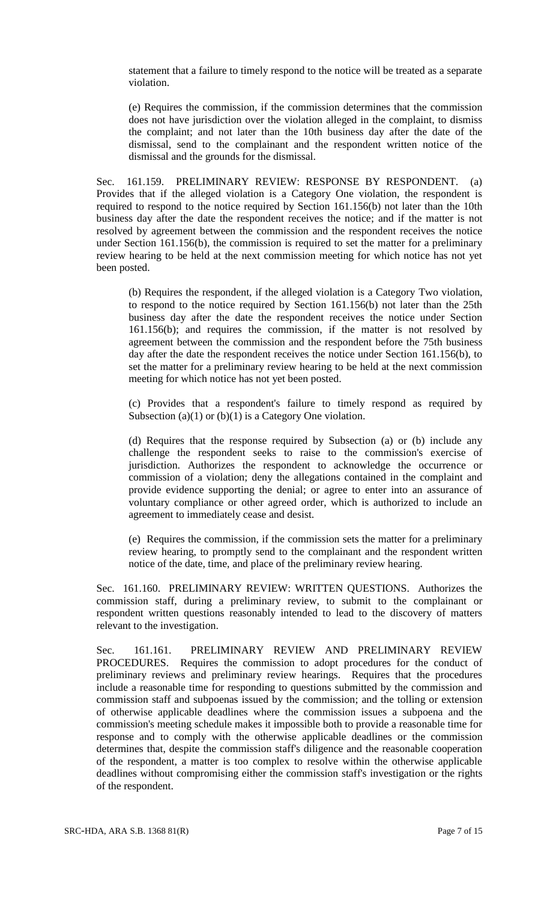statement that a failure to timely respond to the notice will be treated as a separate violation.

(e) Requires the commission, if the commission determines that the commission does not have jurisdiction over the violation alleged in the complaint, to dismiss the complaint; and not later than the 10th business day after the date of the dismissal, send to the complainant and the respondent written notice of the dismissal and the grounds for the dismissal.

Sec. 161.159. PRELIMINARY REVIEW: RESPONSE BY RESPONDENT. (a) Provides that if the alleged violation is a Category One violation, the respondent is required to respond to the notice required by Section 161.156(b) not later than the 10th business day after the date the respondent receives the notice; and if the matter is not resolved by agreement between the commission and the respondent receives the notice under Section 161.156(b), the commission is required to set the matter for a preliminary review hearing to be held at the next commission meeting for which notice has not yet been posted.

(b) Requires the respondent, if the alleged violation is a Category Two violation, to respond to the notice required by Section 161.156(b) not later than the 25th business day after the date the respondent receives the notice under Section 161.156(b); and requires the commission, if the matter is not resolved by agreement between the commission and the respondent before the 75th business day after the date the respondent receives the notice under Section 161.156(b), to set the matter for a preliminary review hearing to be held at the next commission meeting for which notice has not yet been posted.

(c) Provides that a respondent's failure to timely respond as required by Subsection (a)(1) or (b)(1) is a Category One violation.

(d) Requires that the response required by Subsection (a) or (b) include any challenge the respondent seeks to raise to the commission's exercise of jurisdiction. Authorizes the respondent to acknowledge the occurrence or commission of a violation; deny the allegations contained in the complaint and provide evidence supporting the denial; or agree to enter into an assurance of voluntary compliance or other agreed order, which is authorized to include an agreement to immediately cease and desist.

(e) Requires the commission, if the commission sets the matter for a preliminary review hearing, to promptly send to the complainant and the respondent written notice of the date, time, and place of the preliminary review hearing.

Sec. 161.160. PRELIMINARY REVIEW: WRITTEN QUESTIONS. Authorizes the commission staff, during a preliminary review, to submit to the complainant or respondent written questions reasonably intended to lead to the discovery of matters relevant to the investigation.

Sec. 161.161. PRELIMINARY REVIEW AND PRELIMINARY REVIEW PROCEDURES. Requires the commission to adopt procedures for the conduct of preliminary reviews and preliminary review hearings. Requires that the procedures include a reasonable time for responding to questions submitted by the commission and commission staff and subpoenas issued by the commission; and the tolling or extension of otherwise applicable deadlines where the commission issues a subpoena and the commission's meeting schedule makes it impossible both to provide a reasonable time for response and to comply with the otherwise applicable deadlines or the commission determines that, despite the commission staff's diligence and the reasonable cooperation of the respondent, a matter is too complex to resolve within the otherwise applicable deadlines without compromising either the commission staff's investigation or the rights of the respondent.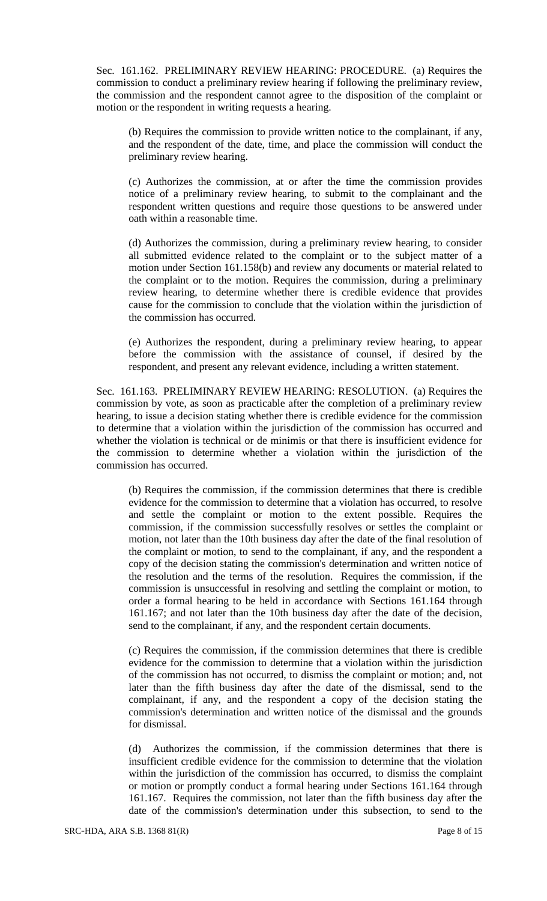Sec. 161.162. PRELIMINARY REVIEW HEARING: PROCEDURE. (a) Requires the commission to conduct a preliminary review hearing if following the preliminary review, the commission and the respondent cannot agree to the disposition of the complaint or motion or the respondent in writing requests a hearing.

(b) Requires the commission to provide written notice to the complainant, if any, and the respondent of the date, time, and place the commission will conduct the preliminary review hearing.

(c) Authorizes the commission, at or after the time the commission provides notice of a preliminary review hearing, to submit to the complainant and the respondent written questions and require those questions to be answered under oath within a reasonable time.

(d) Authorizes the commission, during a preliminary review hearing, to consider all submitted evidence related to the complaint or to the subject matter of a motion under Section 161.158(b) and review any documents or material related to the complaint or to the motion. Requires the commission, during a preliminary review hearing, to determine whether there is credible evidence that provides cause for the commission to conclude that the violation within the jurisdiction of the commission has occurred.

(e) Authorizes the respondent, during a preliminary review hearing, to appear before the commission with the assistance of counsel, if desired by the respondent, and present any relevant evidence, including a written statement.

Sec. 161.163. PRELIMINARY REVIEW HEARING: RESOLUTION. (a) Requires the commission by vote, as soon as practicable after the completion of a preliminary review hearing, to issue a decision stating whether there is credible evidence for the commission to determine that a violation within the jurisdiction of the commission has occurred and whether the violation is technical or de minimis or that there is insufficient evidence for the commission to determine whether a violation within the jurisdiction of the commission has occurred.

(b) Requires the commission, if the commission determines that there is credible evidence for the commission to determine that a violation has occurred, to resolve and settle the complaint or motion to the extent possible. Requires the commission, if the commission successfully resolves or settles the complaint or motion, not later than the 10th business day after the date of the final resolution of the complaint or motion, to send to the complainant, if any, and the respondent a copy of the decision stating the commission's determination and written notice of the resolution and the terms of the resolution. Requires the commission, if the commission is unsuccessful in resolving and settling the complaint or motion, to order a formal hearing to be held in accordance with Sections 161.164 through 161.167; and not later than the 10th business day after the date of the decision, send to the complainant, if any, and the respondent certain documents.

(c) Requires the commission, if the commission determines that there is credible evidence for the commission to determine that a violation within the jurisdiction of the commission has not occurred, to dismiss the complaint or motion; and, not later than the fifth business day after the date of the dismissal, send to the complainant, if any, and the respondent a copy of the decision stating the commission's determination and written notice of the dismissal and the grounds for dismissal.

(d) Authorizes the commission, if the commission determines that there is insufficient credible evidence for the commission to determine that the violation within the jurisdiction of the commission has occurred, to dismiss the complaint or motion or promptly conduct a formal hearing under Sections 161.164 through 161.167. Requires the commission, not later than the fifth business day after the date of the commission's determination under this subsection, to send to the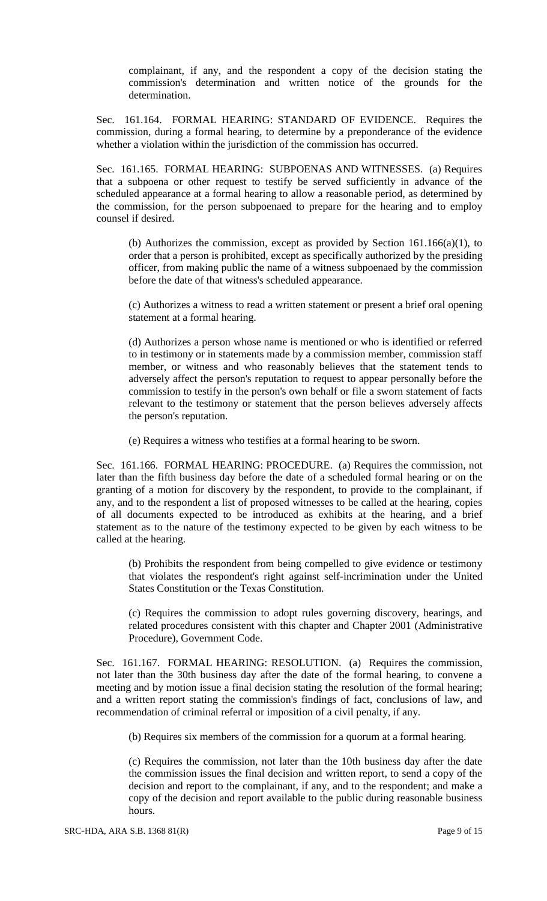complainant, if any, and the respondent a copy of the decision stating the commission's determination and written notice of the grounds for the determination.

Sec. 161.164. FORMAL HEARING: STANDARD OF EVIDENCE. Requires the commission, during a formal hearing, to determine by a preponderance of the evidence whether a violation within the jurisdiction of the commission has occurred.

Sec. 161.165. FORMAL HEARING: SUBPOENAS AND WITNESSES. (a) Requires that a subpoena or other request to testify be served sufficiently in advance of the scheduled appearance at a formal hearing to allow a reasonable period, as determined by the commission, for the person subpoenaed to prepare for the hearing and to employ counsel if desired.

(b) Authorizes the commission, except as provided by Section 161.166(a)(1), to order that a person is prohibited, except as specifically authorized by the presiding officer, from making public the name of a witness subpoenaed by the commission before the date of that witness's scheduled appearance.

(c) Authorizes a witness to read a written statement or present a brief oral opening statement at a formal hearing.

(d) Authorizes a person whose name is mentioned or who is identified or referred to in testimony or in statements made by a commission member, commission staff member, or witness and who reasonably believes that the statement tends to adversely affect the person's reputation to request to appear personally before the commission to testify in the person's own behalf or file a sworn statement of facts relevant to the testimony or statement that the person believes adversely affects the person's reputation.

(e) Requires a witness who testifies at a formal hearing to be sworn.

Sec. 161.166. FORMAL HEARING: PROCEDURE. (a) Requires the commission, not later than the fifth business day before the date of a scheduled formal hearing or on the granting of a motion for discovery by the respondent, to provide to the complainant, if any, and to the respondent a list of proposed witnesses to be called at the hearing, copies of all documents expected to be introduced as exhibits at the hearing, and a brief statement as to the nature of the testimony expected to be given by each witness to be called at the hearing.

(b) Prohibits the respondent from being compelled to give evidence or testimony that violates the respondent's right against self-incrimination under the United States Constitution or the Texas Constitution.

(c) Requires the commission to adopt rules governing discovery, hearings, and related procedures consistent with this chapter and Chapter 2001 (Administrative Procedure), Government Code.

Sec. 161.167. FORMAL HEARING: RESOLUTION. (a) Requires the commission, not later than the 30th business day after the date of the formal hearing, to convene a meeting and by motion issue a final decision stating the resolution of the formal hearing; and a written report stating the commission's findings of fact, conclusions of law, and recommendation of criminal referral or imposition of a civil penalty, if any.

(b) Requires six members of the commission for a quorum at a formal hearing.

(c) Requires the commission, not later than the 10th business day after the date the commission issues the final decision and written report, to send a copy of the decision and report to the complainant, if any, and to the respondent; and make a copy of the decision and report available to the public during reasonable business hours.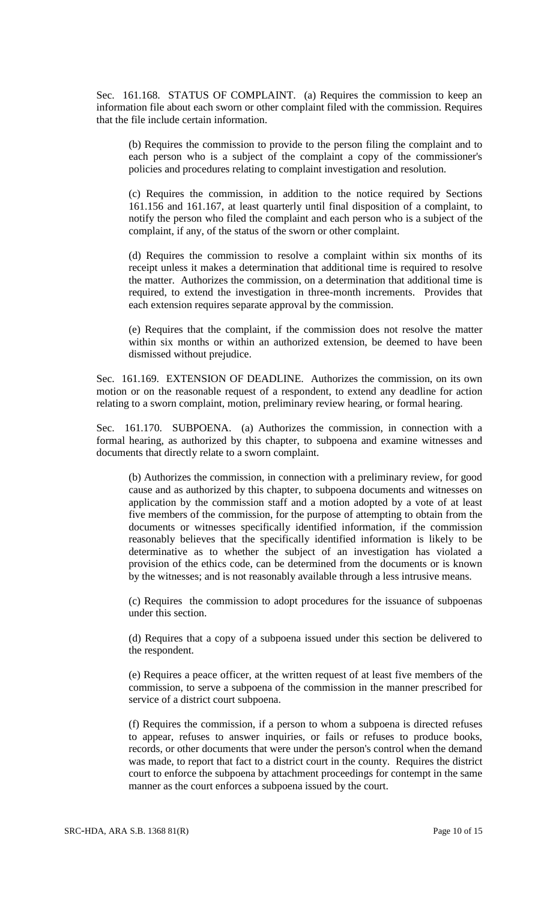Sec. 161.168. STATUS OF COMPLAINT. (a) Requires the commission to keep an information file about each sworn or other complaint filed with the commission. Requires that the file include certain information.

(b) Requires the commission to provide to the person filing the complaint and to each person who is a subject of the complaint a copy of the commissioner's policies and procedures relating to complaint investigation and resolution.

(c) Requires the commission, in addition to the notice required by Sections 161.156 and 161.167, at least quarterly until final disposition of a complaint, to notify the person who filed the complaint and each person who is a subject of the complaint, if any, of the status of the sworn or other complaint.

(d) Requires the commission to resolve a complaint within six months of its receipt unless it makes a determination that additional time is required to resolve the matter. Authorizes the commission, on a determination that additional time is required, to extend the investigation in three-month increments. Provides that each extension requires separate approval by the commission.

(e) Requires that the complaint, if the commission does not resolve the matter within six months or within an authorized extension, be deemed to have been dismissed without prejudice.

Sec. 161.169. EXTENSION OF DEADLINE. Authorizes the commission, on its own motion or on the reasonable request of a respondent, to extend any deadline for action relating to a sworn complaint, motion, preliminary review hearing, or formal hearing.

Sec. 161.170. SUBPOENA. (a) Authorizes the commission, in connection with a formal hearing, as authorized by this chapter, to subpoena and examine witnesses and documents that directly relate to a sworn complaint.

(b) Authorizes the commission, in connection with a preliminary review, for good cause and as authorized by this chapter, to subpoena documents and witnesses on application by the commission staff and a motion adopted by a vote of at least five members of the commission, for the purpose of attempting to obtain from the documents or witnesses specifically identified information, if the commission reasonably believes that the specifically identified information is likely to be determinative as to whether the subject of an investigation has violated a provision of the ethics code, can be determined from the documents or is known by the witnesses; and is not reasonably available through a less intrusive means.

(c) Requires the commission to adopt procedures for the issuance of subpoenas under this section.

(d) Requires that a copy of a subpoena issued under this section be delivered to the respondent.

(e) Requires a peace officer, at the written request of at least five members of the commission, to serve a subpoena of the commission in the manner prescribed for service of a district court subpoena.

(f) Requires the commission, if a person to whom a subpoena is directed refuses to appear, refuses to answer inquiries, or fails or refuses to produce books, records, or other documents that were under the person's control when the demand was made, to report that fact to a district court in the county. Requires the district court to enforce the subpoena by attachment proceedings for contempt in the same manner as the court enforces a subpoena issued by the court.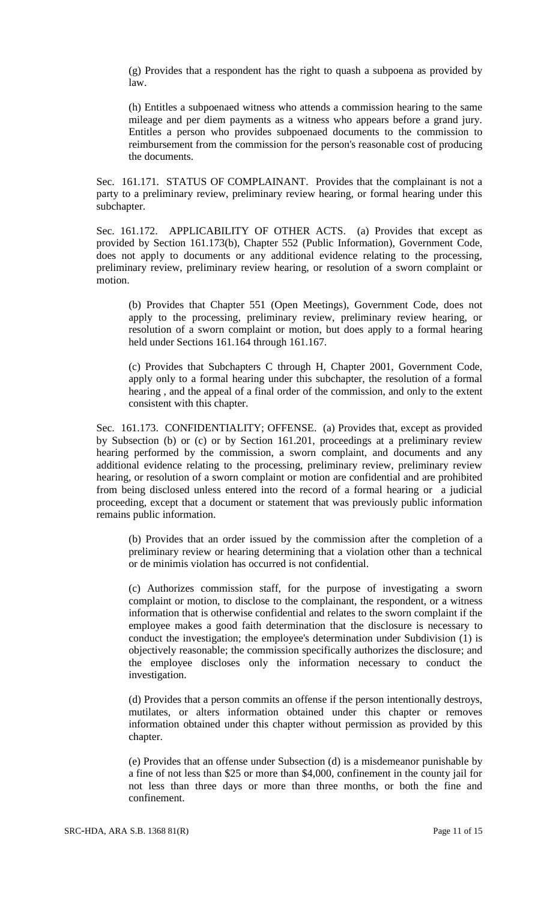(g) Provides that a respondent has the right to quash a subpoena as provided by law.

(h) Entitles a subpoenaed witness who attends a commission hearing to the same mileage and per diem payments as a witness who appears before a grand jury. Entitles a person who provides subpoenaed documents to the commission to reimbursement from the commission for the person's reasonable cost of producing the documents.

Sec. 161.171. STATUS OF COMPLAINANT. Provides that the complainant is not a party to a preliminary review, preliminary review hearing, or formal hearing under this subchapter.

Sec. 161.172. APPLICABILITY OF OTHER ACTS. (a) Provides that except as provided by Section 161.173(b), Chapter 552 (Public Information), Government Code, does not apply to documents or any additional evidence relating to the processing, preliminary review, preliminary review hearing, or resolution of a sworn complaint or motion.

(b) Provides that Chapter 551 (Open Meetings), Government Code, does not apply to the processing, preliminary review, preliminary review hearing, or resolution of a sworn complaint or motion, but does apply to a formal hearing held under Sections 161.164 through 161.167.

(c) Provides that Subchapters C through H, Chapter 2001, Government Code, apply only to a formal hearing under this subchapter, the resolution of a formal hearing , and the appeal of a final order of the commission, and only to the extent consistent with this chapter.

Sec. 161.173. CONFIDENTIALITY; OFFENSE. (a) Provides that, except as provided by Subsection (b) or (c) or by Section 161.201, proceedings at a preliminary review hearing performed by the commission, a sworn complaint, and documents and any additional evidence relating to the processing, preliminary review, preliminary review hearing, or resolution of a sworn complaint or motion are confidential and are prohibited from being disclosed unless entered into the record of a formal hearing or a judicial proceeding, except that a document or statement that was previously public information remains public information.

(b) Provides that an order issued by the commission after the completion of a preliminary review or hearing determining that a violation other than a technical or de minimis violation has occurred is not confidential.

(c) Authorizes commission staff, for the purpose of investigating a sworn complaint or motion, to disclose to the complainant, the respondent, or a witness information that is otherwise confidential and relates to the sworn complaint if the employee makes a good faith determination that the disclosure is necessary to conduct the investigation; the employee's determination under Subdivision (1) is objectively reasonable; the commission specifically authorizes the disclosure; and the employee discloses only the information necessary to conduct the investigation.

(d) Provides that a person commits an offense if the person intentionally destroys, mutilates, or alters information obtained under this chapter or removes information obtained under this chapter without permission as provided by this chapter.

(e) Provides that an offense under Subsection (d) is a misdemeanor punishable by a fine of not less than \$25 or more than \$4,000, confinement in the county jail for not less than three days or more than three months, or both the fine and confinement.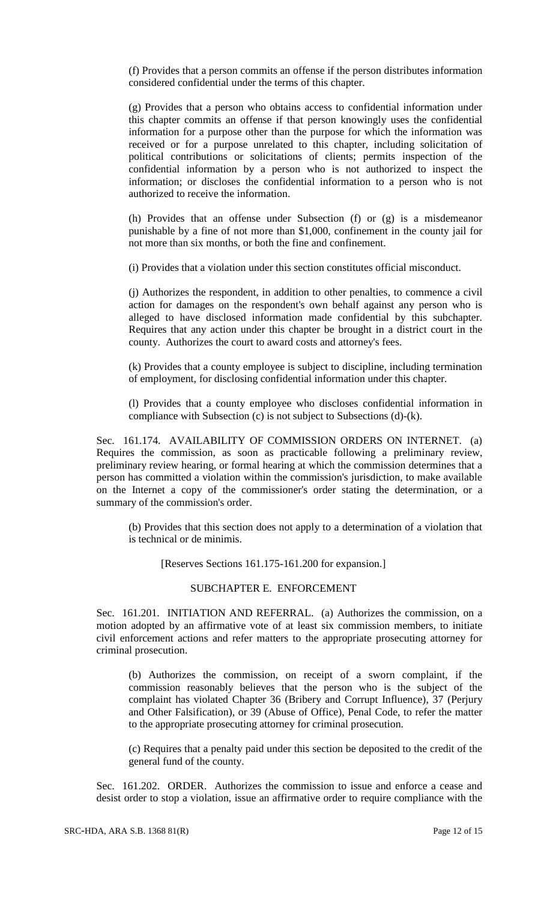(f) Provides that a person commits an offense if the person distributes information considered confidential under the terms of this chapter.

(g) Provides that a person who obtains access to confidential information under this chapter commits an offense if that person knowingly uses the confidential information for a purpose other than the purpose for which the information was received or for a purpose unrelated to this chapter, including solicitation of political contributions or solicitations of clients; permits inspection of the confidential information by a person who is not authorized to inspect the information; or discloses the confidential information to a person who is not authorized to receive the information.

(h) Provides that an offense under Subsection (f) or (g) is a misdemeanor punishable by a fine of not more than \$1,000, confinement in the county jail for not more than six months, or both the fine and confinement.

(i) Provides that a violation under this section constitutes official misconduct.

(j) Authorizes the respondent, in addition to other penalties, to commence a civil action for damages on the respondent's own behalf against any person who is alleged to have disclosed information made confidential by this subchapter. Requires that any action under this chapter be brought in a district court in the county. Authorizes the court to award costs and attorney's fees.

(k) Provides that a county employee is subject to discipline, including termination of employment, for disclosing confidential information under this chapter.

(l) Provides that a county employee who discloses confidential information in compliance with Subsection (c) is not subject to Subsections (d)-(k).

Sec. 161.174. AVAILABILITY OF COMMISSION ORDERS ON INTERNET. (a) Requires the commission, as soon as practicable following a preliminary review, preliminary review hearing, or formal hearing at which the commission determines that a person has committed a violation within the commission's jurisdiction, to make available on the Internet a copy of the commissioner's order stating the determination, or a summary of the commission's order.

(b) Provides that this section does not apply to a determination of a violation that is technical or de minimis.

[Reserves Sections 161.175-161.200 for expansion.]

### SUBCHAPTER E. ENFORCEMENT

Sec. 161.201. INITIATION AND REFERRAL. (a) Authorizes the commission, on a motion adopted by an affirmative vote of at least six commission members, to initiate civil enforcement actions and refer matters to the appropriate prosecuting attorney for criminal prosecution.

(b) Authorizes the commission, on receipt of a sworn complaint, if the commission reasonably believes that the person who is the subject of the complaint has violated Chapter 36 (Bribery and Corrupt Influence), 37 (Perjury and Other Falsification), or 39 (Abuse of Office), Penal Code, to refer the matter to the appropriate prosecuting attorney for criminal prosecution.

(c) Requires that a penalty paid under this section be deposited to the credit of the general fund of the county.

Sec. 161.202. ORDER. Authorizes the commission to issue and enforce a cease and desist order to stop a violation, issue an affirmative order to require compliance with the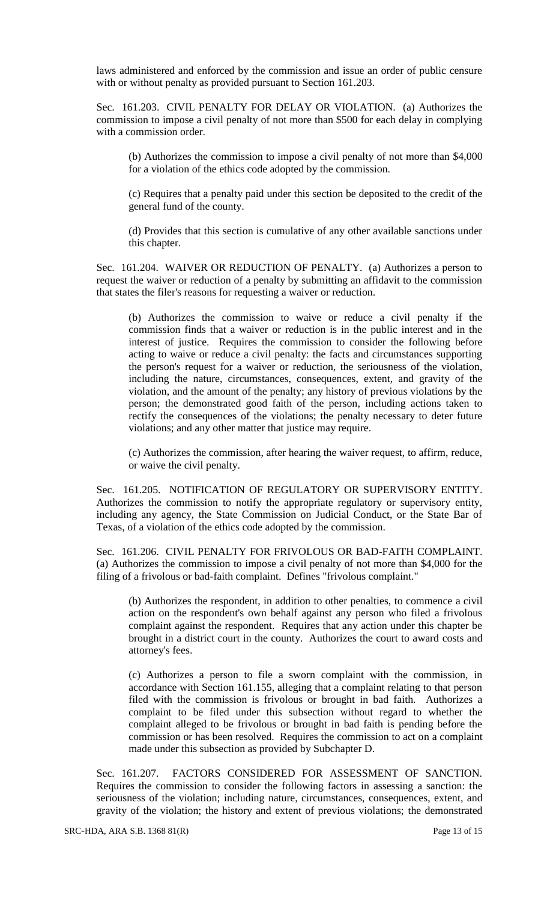laws administered and enforced by the commission and issue an order of public censure with or without penalty as provided pursuant to Section 161.203.

Sec. 161.203. CIVIL PENALTY FOR DELAY OR VIOLATION. (a) Authorizes the commission to impose a civil penalty of not more than \$500 for each delay in complying with a commission order.

(b) Authorizes the commission to impose a civil penalty of not more than \$4,000 for a violation of the ethics code adopted by the commission.

(c) Requires that a penalty paid under this section be deposited to the credit of the general fund of the county.

(d) Provides that this section is cumulative of any other available sanctions under this chapter.

Sec. 161.204. WAIVER OR REDUCTION OF PENALTY. (a) Authorizes a person to request the waiver or reduction of a penalty by submitting an affidavit to the commission that states the filer's reasons for requesting a waiver or reduction.

(b) Authorizes the commission to waive or reduce a civil penalty if the commission finds that a waiver or reduction is in the public interest and in the interest of justice. Requires the commission to consider the following before acting to waive or reduce a civil penalty: the facts and circumstances supporting the person's request for a waiver or reduction, the seriousness of the violation, including the nature, circumstances, consequences, extent, and gravity of the violation, and the amount of the penalty; any history of previous violations by the person; the demonstrated good faith of the person, including actions taken to rectify the consequences of the violations; the penalty necessary to deter future violations; and any other matter that justice may require.

(c) Authorizes the commission, after hearing the waiver request, to affirm, reduce, or waive the civil penalty.

Sec. 161.205. NOTIFICATION OF REGULATORY OR SUPERVISORY ENTITY. Authorizes the commission to notify the appropriate regulatory or supervisory entity, including any agency, the State Commission on Judicial Conduct, or the State Bar of Texas, of a violation of the ethics code adopted by the commission.

Sec. 161.206. CIVIL PENALTY FOR FRIVOLOUS OR BAD-FAITH COMPLAINT. (a) Authorizes the commission to impose a civil penalty of not more than \$4,000 for the filing of a frivolous or bad-faith complaint. Defines "frivolous complaint."

(b) Authorizes the respondent, in addition to other penalties, to commence a civil action on the respondent's own behalf against any person who filed a frivolous complaint against the respondent. Requires that any action under this chapter be brought in a district court in the county. Authorizes the court to award costs and attorney's fees.

(c) Authorizes a person to file a sworn complaint with the commission, in accordance with Section 161.155, alleging that a complaint relating to that person filed with the commission is frivolous or brought in bad faith. Authorizes a complaint to be filed under this subsection without regard to whether the complaint alleged to be frivolous or brought in bad faith is pending before the commission or has been resolved. Requires the commission to act on a complaint made under this subsection as provided by Subchapter D.

Sec. 161.207. FACTORS CONSIDERED FOR ASSESSMENT OF SANCTION. Requires the commission to consider the following factors in assessing a sanction: the seriousness of the violation; including nature, circumstances, consequences, extent, and gravity of the violation; the history and extent of previous violations; the demonstrated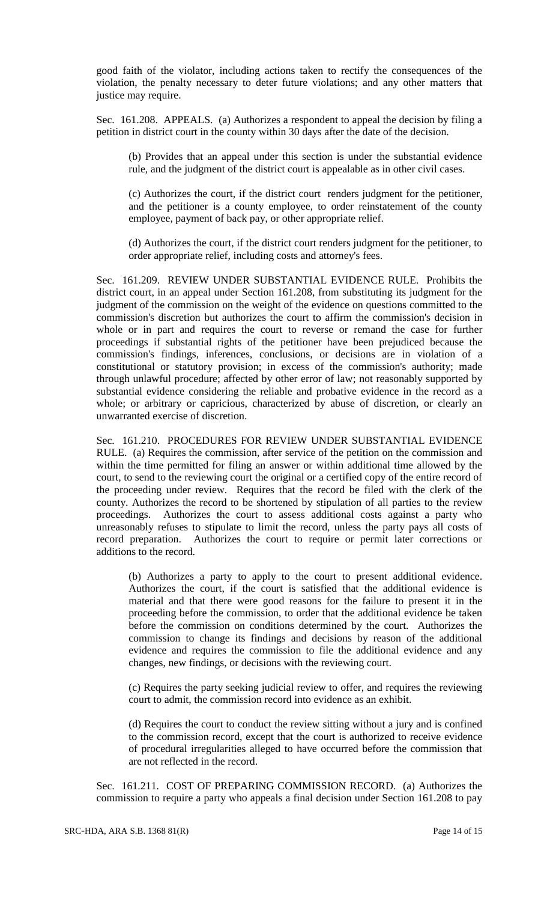good faith of the violator, including actions taken to rectify the consequences of the violation, the penalty necessary to deter future violations; and any other matters that justice may require.

Sec. 161.208. APPEALS. (a) Authorizes a respondent to appeal the decision by filing a petition in district court in the county within 30 days after the date of the decision.

(b) Provides that an appeal under this section is under the substantial evidence rule, and the judgment of the district court is appealable as in other civil cases.

(c) Authorizes the court, if the district court renders judgment for the petitioner, and the petitioner is a county employee, to order reinstatement of the county employee, payment of back pay, or other appropriate relief.

(d) Authorizes the court, if the district court renders judgment for the petitioner, to order appropriate relief, including costs and attorney's fees.

Sec. 161.209. REVIEW UNDER SUBSTANTIAL EVIDENCE RULE. Prohibits the district court, in an appeal under Section 161.208, from substituting its judgment for the judgment of the commission on the weight of the evidence on questions committed to the commission's discretion but authorizes the court to affirm the commission's decision in whole or in part and requires the court to reverse or remand the case for further proceedings if substantial rights of the petitioner have been prejudiced because the commission's findings, inferences, conclusions, or decisions are in violation of a constitutional or statutory provision; in excess of the commission's authority; made through unlawful procedure; affected by other error of law; not reasonably supported by substantial evidence considering the reliable and probative evidence in the record as a whole; or arbitrary or capricious, characterized by abuse of discretion, or clearly an unwarranted exercise of discretion.

Sec. 161.210. PROCEDURES FOR REVIEW UNDER SUBSTANTIAL EVIDENCE RULE. (a) Requires the commission, after service of the petition on the commission and within the time permitted for filing an answer or within additional time allowed by the court, to send to the reviewing court the original or a certified copy of the entire record of the proceeding under review. Requires that the record be filed with the clerk of the county. Authorizes the record to be shortened by stipulation of all parties to the review proceedings. Authorizes the court to assess additional costs against a party who unreasonably refuses to stipulate to limit the record, unless the party pays all costs of record preparation. Authorizes the court to require or permit later corrections or additions to the record.

(b) Authorizes a party to apply to the court to present additional evidence. Authorizes the court, if the court is satisfied that the additional evidence is material and that there were good reasons for the failure to present it in the proceeding before the commission, to order that the additional evidence be taken before the commission on conditions determined by the court. Authorizes the commission to change its findings and decisions by reason of the additional evidence and requires the commission to file the additional evidence and any changes, new findings, or decisions with the reviewing court.

(c) Requires the party seeking judicial review to offer, and requires the reviewing court to admit, the commission record into evidence as an exhibit.

(d) Requires the court to conduct the review sitting without a jury and is confined to the commission record, except that the court is authorized to receive evidence of procedural irregularities alleged to have occurred before the commission that are not reflected in the record.

Sec. 161.211. COST OF PREPARING COMMISSION RECORD. (a) Authorizes the commission to require a party who appeals a final decision under Section 161.208 to pay